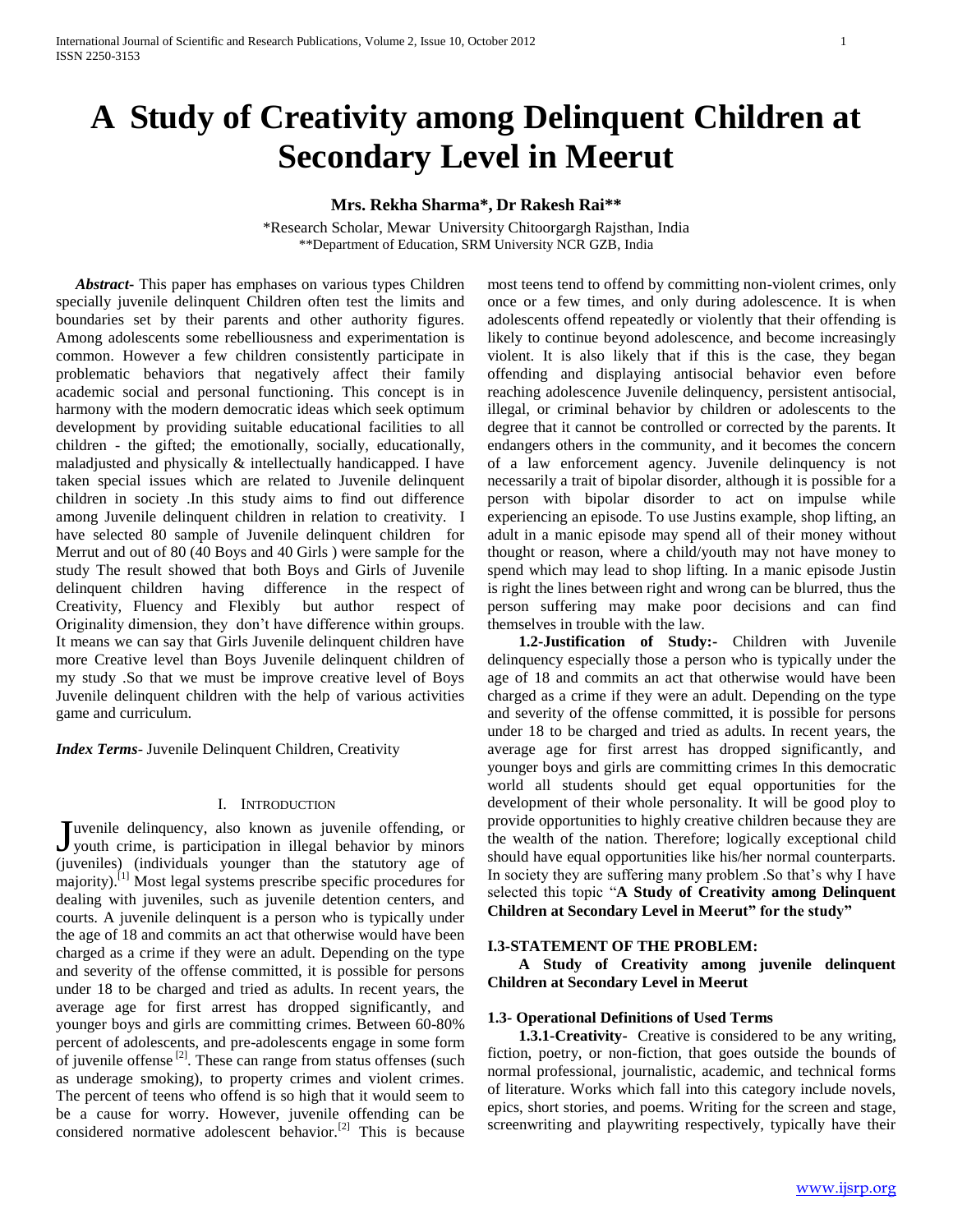# **A Study of Creativity among Delinquent Children at Secondary Level in Meerut**

## **Mrs. Rekha Sharma\*, Dr Rakesh Rai\*\***

\*Research Scholar, Mewar University Chitoorgargh Rajsthan, India \*\*Department of Education, SRM University NCR GZB, India

 *Abstract***-** This paper has emphases on various types Children specially juvenile delinquent Children often test the limits and boundaries set by their parents and other authority figures. Among adolescents some rebelliousness and experimentation is common. However a few children consistently participate in problematic behaviors that negatively affect their family academic social and personal functioning. This concept is in harmony with the modern democratic ideas which seek optimum development by providing suitable educational facilities to all children - the gifted; the emotionally, socially, educationally, maladjusted and physically & intellectually handicapped. I have taken special issues which are related to Juvenile delinquent children in society .In this study aims to find out difference among Juvenile delinquent children in relation to creativity. I have selected 80 sample of Juvenile delinquent children for Merrut and out of 80 (40 Boys and 40 Girls ) were sample for the study The result showed that both Boys and Girls of Juvenile delinquent children having difference in the respect of Creativity, Fluency and Flexibly but author respect of Originality dimension, they don"t have difference within groups. It means we can say that Girls Juvenile delinquent children have more Creative level than Boys Juvenile delinquent children of my study .So that we must be improve creative level of Boys Juvenile delinquent children with the help of various activities game and curriculum.

*Index Terms*- Juvenile Delinquent Children, Creativity

#### I. INTRODUCTION

uvenile delinquency, also known as juvenile offending, or Juvenile delinquency, also known as juvenile offending, or youth crime, is participation in illegal behavior by minors (juveniles) (individuals younger than the statutory age of majority).[1] Most legal systems prescribe specific procedures for dealing with juveniles, such as juvenile detention centers, and courts. A juvenile delinquent is a person who is typically under the age of 18 and commits an act that otherwise would have been charged as a crime if they were an adult. Depending on the type and severity of the offense committed, it is possible for persons under 18 to be charged and tried as adults. In recent years, the average age for first arrest has dropped significantly, and younger boys and girls are committing crimes. Between 60-80% percent of adolescents, and pre-adolescents engage in some form of juvenile offense  $^{[2]}$ . These can range from status offenses (such as underage smoking), to property crimes and violent crimes. The percent of teens who offend is so high that it would seem to be a cause for worry. However, juvenile offending can be considered normative adolescent behavior.<sup>[2]</sup> This is because

most teens tend to offend by committing non-violent crimes, only once or a few times, and only during adolescence. It is when adolescents offend repeatedly or violently that their offending is likely to continue beyond adolescence, and become increasingly violent. It is also likely that if this is the case, they began offending and displaying antisocial behavior even before reaching adolescence Juvenile delinquency, persistent antisocial, illegal, or criminal behavior by children or adolescents to the degree that it cannot be controlled or corrected by the parents. It endangers others in the community, and it becomes the concern of a law enforcement agency. Juvenile delinquency is not necessarily a trait of bipolar disorder, although it is possible for a person with bipolar disorder to act on impulse while experiencing an episode. To use Justins example, shop lifting, an adult in a manic episode may spend all of their money without thought or reason, where a child/youth may not have money to spend which may lead to shop lifting. In a manic episode Justin is right the lines between right and wrong can be blurred, thus the person suffering may make poor decisions and can find themselves in trouble with the law.

 **1.2-Justification of Study:-** Children with Juvenile delinquency especially those a person who is typically under the age of 18 and commits an act that otherwise would have been charged as a crime if they were an adult. Depending on the type and severity of the offense committed, it is possible for persons under 18 to be charged and tried as adults. In recent years, the average age for first arrest has dropped significantly, and younger boys and girls are committing crimes In this democratic world all students should get equal opportunities for the development of their whole personality. It will be good ploy to provide opportunities to highly creative children because they are the wealth of the nation. Therefore; logically exceptional child should have equal opportunities like his/her normal counterparts. In society they are suffering many problem . So that's why I have selected this topic "**A Study of Creativity among Delinquent Children at Secondary Level in Meerut" for the study"**

#### **I.3-STATEMENT OF THE PROBLEM:**

 **A Study of Creativity among juvenile delinquent Children at Secondary Level in Meerut**

#### **1.3- Operational Definitions of Used Terms**

 **1.3.1-Creativity-** Creative is considered to be any writing, fiction, poetry, or non-fiction, that goes outside the bounds of normal professional, journalistic, academic, and technical forms of literature. Works which fall into this category include novels, epics, short stories, and poems. Writing for the screen and stage, screenwriting and playwriting respectively, typically have their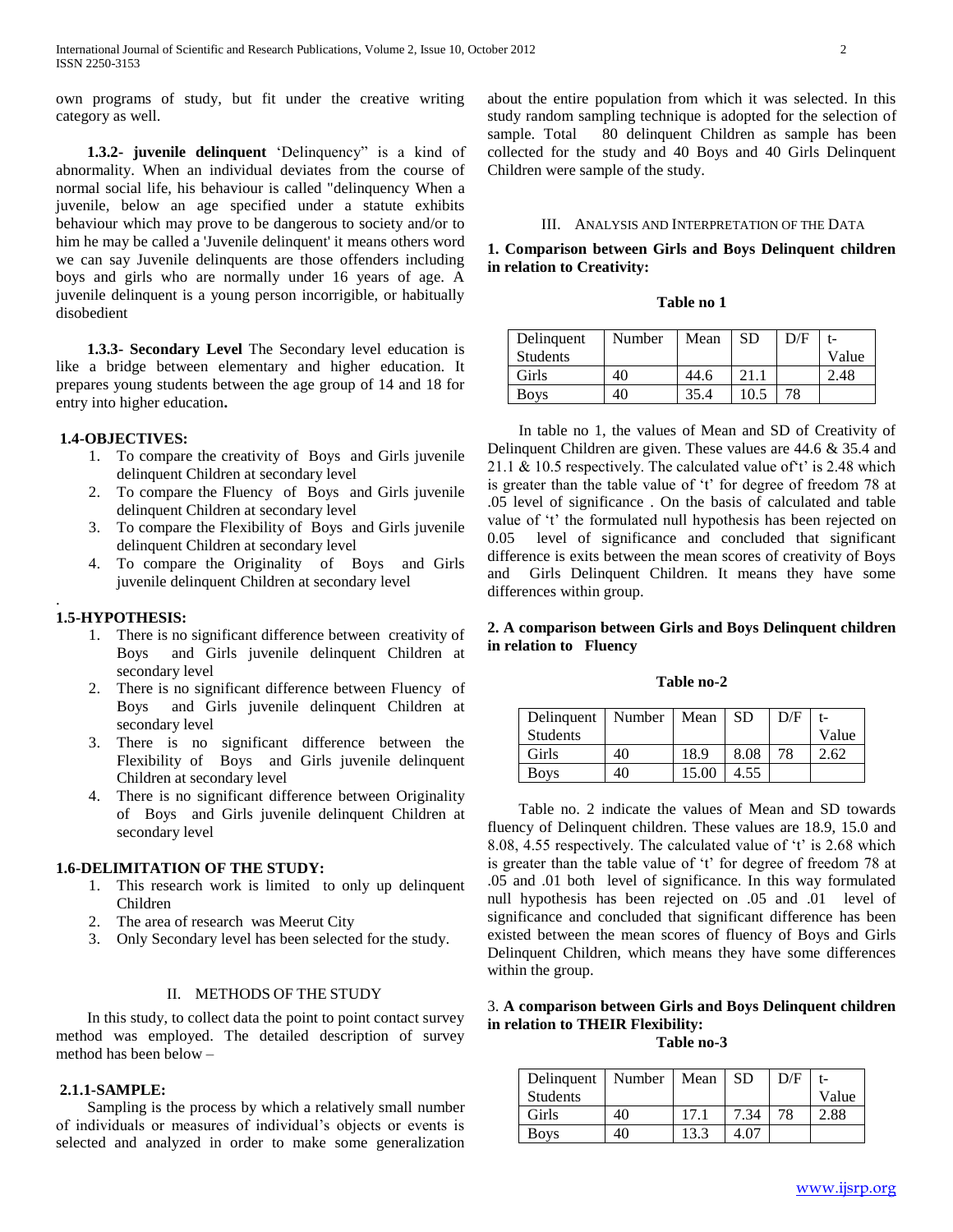own programs of study, but fit under the creative writing category as well.

 **1.3.2- juvenile delinquent** "Delinquency" is a kind of abnormality. When an individual deviates from the course of normal social life, his behaviour is called "delinquency When a juvenile, below an age specified under a statute exhibits behaviour which may prove to be dangerous to society and/or to him he may be called a 'Juvenile delinquent' it means others word we can say Juvenile delinquents are those offenders including boys and girls who are normally under 16 years of age. A juvenile delinquent is a young person incorrigible, or habitually disobedient

 **1.3.3- Secondary Level** The Secondary level education is like a bridge between elementary and higher education. It prepares young students between the age group of 14 and 18 for entry into higher education**.**

#### **1.4-OBJECTIVES:**

- 1. To compare the creativity of Boys and Girls juvenile delinquent Children at secondary level
- 2. To compare the Fluency of Boys and Girls juvenile delinquent Children at secondary level
- 3. To compare the Flexibility of Boys and Girls juvenile delinquent Children at secondary level
- 4. To compare the Originality of Boys and Girls juvenile delinquent Children at secondary level

### **1.5-HYPOTHESIS:**

.

- 1. There is no significant difference between creativity of Boys and Girls juvenile delinquent Children at secondary level
- 2. There is no significant difference between Fluency of Boys and Girls juvenile delinquent Children at secondary level
- 3. There is no significant difference between the Flexibility of Boys and Girls juvenile delinquent Children at secondary level
- 4. There is no significant difference between Originality of Boys and Girls juvenile delinquent Children at secondary level

## **1.6-DELIMITATION OF THE STUDY:**

- 1. This research work is limited to only up delinquent Children
- 2. The area of research was Meerut City
- 3. Only Secondary level has been selected for the study.

#### II. METHODS OF THE STUDY

In this study, to collect data the point to point contact survey method was employed. The detailed description of survey method has been below –

#### **2.1.1-SAMPLE:**

Sampling is the process by which a relatively small number of individuals or measures of individual"s objects or events is selected and analyzed in order to make some generalization about the entire population from which it was selected. In this study random sampling technique is adopted for the selection of sample. Total 80 delinquent Children as sample has been collected for the study and 40 Boys and 40 Girls Delinquent Children were sample of the study.

#### III. ANALYSIS AND INTERPRETATION OF THE DATA

## **1. Comparison between Girls and Boys Delinquent children in relation to Creativity:**

### **Table no 1**

| Delinquent  | Number | Mean | <b>SD</b> | D/F |       |
|-------------|--------|------|-----------|-----|-------|
| Students    |        |      |           |     | Value |
| Girls       | 40     | 44.6 | 21.1      |     | 2.48  |
| <b>Boys</b> | 40     | 35.4 | 10.5      | 78  |       |

In table no 1, the values of Mean and SD of Creativity of Delinquent Children are given. These values are 44.6 & 35.4 and 21.1 & 10.5 respectively. The calculated value of  $t$  is 2.48 which is greater than the table value of 't' for degree of freedom 78 at .05 level of significance . On the basis of calculated and table value of 't' the formulated null hypothesis has been rejected on 0.05 level of significance and concluded that significant difference is exits between the mean scores of creativity of Boys and Girls Delinquent Children. It means they have some differences within group.

## **2. A comparison between Girls and Boys Delinquent children in relation to Fluency**

#### **Table no-2**

| Delinquent   Number   Mean |    |       | <b>SD</b> | D/F |       |
|----------------------------|----|-------|-----------|-----|-------|
| <b>Students</b>            |    |       |           |     | Value |
| Girls                      | 40 | 18.9  | 8.08      | 78  | 2.62  |
| <b>Boys</b>                | 40 | 15.00 | 4.55      |     |       |

Table no. 2 indicate the values of Mean and SD towards fluency of Delinquent children. These values are 18.9, 15.0 and 8.08, 4.55 respectively. The calculated value of "t" is 2.68 which is greater than the table value of 't' for degree of freedom 78 at .05 and .01 both level of significance. In this way formulated null hypothesis has been rejected on .05 and .01 level of significance and concluded that significant difference has been existed between the mean scores of fluency of Boys and Girls Delinquent Children, which means they have some differences within the group.

# 3. **A comparison between Girls and Boys Delinquent children in relation to THEIR Flexibility:**

**Table no-3**

| Delinquent      | Number | Mean | SD   | D/F |       |
|-----------------|--------|------|------|-----|-------|
| <b>Students</b> |        |      |      |     | Value |
| Girls           | 40     |      | 7.34 | 78  | 2.88  |
| <b>Boys</b>     | 40     | 13.3 |      |     |       |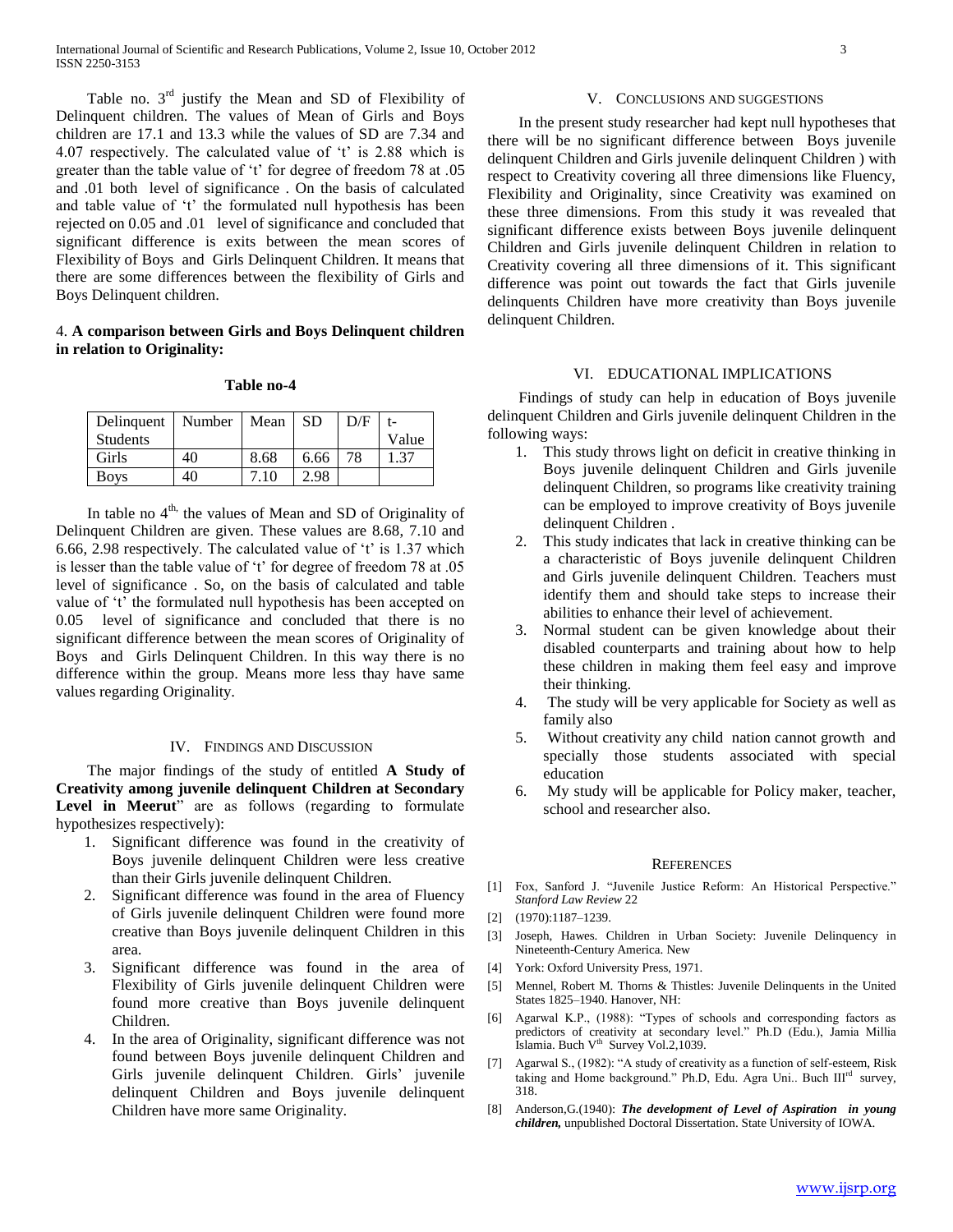Table no.  $3<sup>rd</sup>$  justify the Mean and SD of Flexibility of Delinquent children. The values of Mean of Girls and Boys children are 17.1 and 13.3 while the values of SD are 7.34 and 4.07 respectively. The calculated value of "t" is 2.88 which is greater than the table value of "t" for degree of freedom 78 at .05 and .01 both level of significance . On the basis of calculated and table value of 't' the formulated null hypothesis has been rejected on 0.05 and .01 level of significance and concluded that significant difference is exits between the mean scores of Flexibility of Boys and Girls Delinquent Children. It means that there are some differences between the flexibility of Girls and Boys Delinquent children.

## 4. **A comparison between Girls and Boys Delinquent children in relation to Originality:**

#### **Table no-4**

| Delinquent      | Number   Mean |      | <b>SD</b> | D/F |       |
|-----------------|---------------|------|-----------|-----|-------|
| <b>Students</b> |               |      |           |     | Value |
| Girls           | 40            | 8.68 | 6.66      | 78  | 1.37  |
| Boys            | 40            | 7.10 | 2.98      |     |       |

In table no  $4<sup>th</sup>$ , the values of Mean and SD of Originality of Delinquent Children are given. These values are 8.68, 7.10 and 6.66, 2.98 respectively. The calculated value of  $t$  is 1.37 which is lesser than the table value of 't' for degree of freedom 78 at .05 level of significance . So, on the basis of calculated and table value of 't' the formulated null hypothesis has been accepted on 0.05 level of significance and concluded that there is no significant difference between the mean scores of Originality of Boys and Girls Delinquent Children. In this way there is no difference within the group. Means more less thay have same values regarding Originality.

## IV. FINDINGS AND DISCUSSION

The major findings of the study of entitled **A Study of Creativity among juvenile delinquent Children at Secondary**  Level in Meerut" are as follows (regarding to formulate hypothesizes respectively):

- 1. Significant difference was found in the creativity of Boys juvenile delinquent Children were less creative than their Girls juvenile delinquent Children.
- 2. Significant difference was found in the area of Fluency of Girls juvenile delinquent Children were found more creative than Boys juvenile delinquent Children in this area.
- 3. Significant difference was found in the area of Flexibility of Girls juvenile delinquent Children were found more creative than Boys juvenile delinquent Children.
- In the area of Originality, significant difference was not found between Boys juvenile delinquent Children and Girls juvenile delinquent Children. Girls' juvenile delinquent Children and Boys juvenile delinquent Children have more same Originality.

#### V. CONCLUSIONS AND SUGGESTIONS

In the present study researcher had kept null hypotheses that there will be no significant difference between Boys juvenile delinquent Children and Girls juvenile delinquent Children ) with respect to Creativity covering all three dimensions like Fluency, Flexibility and Originality, since Creativity was examined on these three dimensions. From this study it was revealed that significant difference exists between Boys juvenile delinquent Children and Girls juvenile delinquent Children in relation to Creativity covering all three dimensions of it. This significant difference was point out towards the fact that Girls juvenile delinquents Children have more creativity than Boys juvenile delinquent Children.

#### VI. EDUCATIONAL IMPLICATIONS

Findings of study can help in education of Boys juvenile delinquent Children and Girls juvenile delinquent Children in the following ways:

- 1. This study throws light on deficit in creative thinking in Boys juvenile delinquent Children and Girls juvenile delinquent Children, so programs like creativity training can be employed to improve creativity of Boys juvenile delinquent Children .
- 2. This study indicates that lack in creative thinking can be a characteristic of Boys juvenile delinquent Children and Girls juvenile delinquent Children. Teachers must identify them and should take steps to increase their abilities to enhance their level of achievement.
- 3. Normal student can be given knowledge about their disabled counterparts and training about how to help these children in making them feel easy and improve their thinking.
- 4. The study will be very applicable for Society as well as family also
- 5. Without creativity any child nation cannot growth and specially those students associated with special education
- 6. My study will be applicable for Policy maker, teacher, school and researcher also.

#### **REFERENCES**

- [1] Fox, Sanford J. "Juvenile Justice Reform: An Historical Perspective." *Stanford Law Review* 22
- [2] (1970):1187–1239.
- [3] Joseph, Hawes. Children in Urban Society: Juvenile Delinquency in Nineteenth-Century America. New
- [4] York: Oxford University Press, 1971.
- [5] Mennel, Robert M. Thorns & Thistles: Juvenile Delinquents in the United States 1825–1940. Hanover, NH:
- [6] Agarwal K.P., (1988): "Types of schools and corresponding factors as predictors of creativity at secondary level." Ph.D (Edu.), Jamia Millia Islamia. Buch V<sup>th</sup> Survey Vol.2,1039.
- Agarwal S., (1982): "A study of creativity as a function of self-esteem, Risk taking and Home background." Ph.D, Edu. Agra Uni.. Buch III<sup>rd</sup> survey, 318.
- [8] Anderson,G.(1940): *The development of Level of Aspiration in young children,* unpublished Doctoral Dissertation. State University of IOWA.